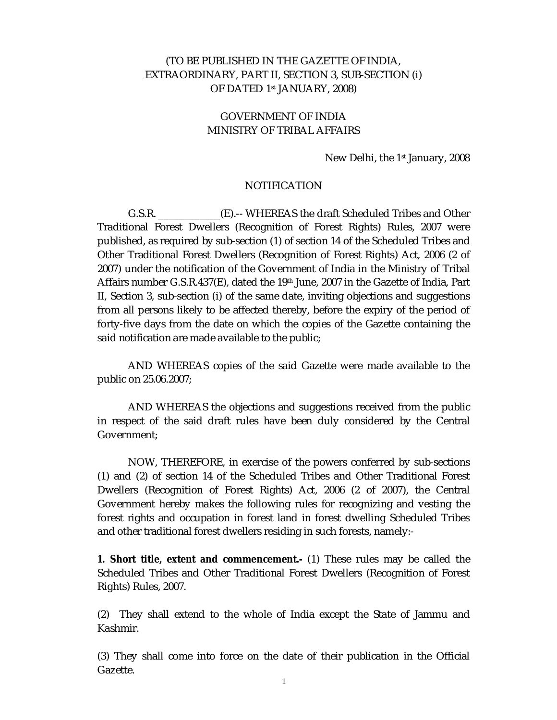## (TO BE PUBLISHED IN THE GAZETTE OF INDIA, EXTRAORDINARY, PART II, SECTION 3, SUB-SECTION (i) OF DATED 1st JANUARY, 2008)

# GOVERNMENT OF INDIA MINISTRY OF TRIBAL AFFAIRS

### New Delhi, the 1<sup>st</sup> January, 2008

## NOTIFICATION

 G.S.R. \_\_\_\_\_\_\_\_\_\_\_\_(E).-- WHEREAS the draft Scheduled Tribes and Other Traditional Forest Dwellers (Recognition of Forest Rights) Rules, 2007 were published, as required by sub-section (1) of section 14 of the Scheduled Tribes and Other Traditional Forest Dwellers (Recognition of Forest Rights) Act, 2006 (2 of 2007) under the notification of the Government of India in the Ministry of Tribal Affairs number G.S.R.437(E), dated the 19th June, 2007 in the Gazette of India, Part II, Section 3, sub-section (i) of the same date, inviting objections and suggestions from all persons likely to be affected thereby, before the expiry of the period of forty-five days from the date on which the copies of the Gazette containing the said notification are made available to the public;

 AND WHEREAS copies of the said Gazette were made available to the public on 25.06.2007;

 AND WHEREAS the objections and suggestions received from the public in respect of the said draft rules have been duly considered by the Central Government;

 NOW, THEREFORE, in exercise of the powers conferred by sub-sections (1) and (2) of section 14 of the Scheduled Tribes and Other Traditional Forest Dwellers (Recognition of Forest Rights) Act, 2006 (2 of 2007), the Central Government hereby makes the following rules for recognizing and vesting the forest rights and occupation in forest land in forest dwelling Scheduled Tribes and other traditional forest dwellers residing in such forests, namely:-

**1. Short title, extent and commencement.-** (1) These rules may be called the Scheduled Tribes and Other Traditional Forest Dwellers (Recognition of Forest Rights) Rules, 2007.

(2) They shall extend to the whole of India except the State of Jammu and Kashmir.

(3) They shall come into force on the date of their publication in the Official Gazette.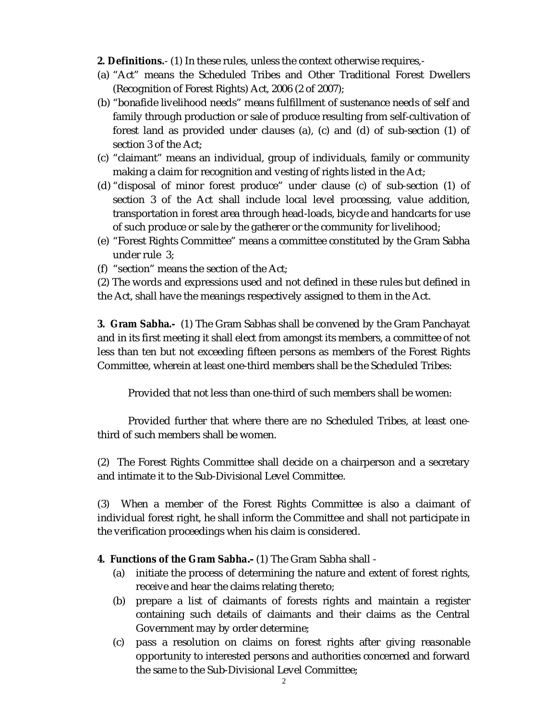**2. Definitions.**- (1) In these rules, unless the context otherwise requires,-

- (a) "Act" means the Scheduled Tribes and Other Traditional Forest Dwellers (Recognition of Forest Rights) Act, 2006 (2 of 2007);
- (b) "bonafide livelihood needs" means fulfillment of sustenance needs of self and family through production or sale of produce resulting from self-cultivation of forest land as provided under clauses (a), (c) and (d) of sub-section (1) of section 3 of the Act;
- (c) "claimant" means an individual, group of individuals, family or community making a claim for recognition and vesting of rights listed in the Act;
- (d) "disposal of minor forest produce" under clause (c) of sub-section (1) of section 3 of the Act shall include local level processing, value addition, transportation in forest area through head-loads, bicycle and handcarts for use of such produce or sale by the gatherer or the community for livelihood;
- (e) "Forest Rights Committee" means a committee constituted by the Gram Sabha under rule 3;
- (f) "section" means the section of the Act;
- (2) The words and expressions used and not defined in these rules but defined in the Act, shall have the meanings respectively assigned to them in the Act.

**3. Gram Sabha.-** (1) The Gram Sabhas shall be convened by the Gram Panchayat and in its first meeting it shall elect from amongst its members, a committee of not less than ten but not exceeding fifteen persons as members of the Forest Rights Committee, wherein at least one-third members shall be the Scheduled Tribes:

Provided that not less than one-third of such members shall be women:

 Provided further that where there are no Scheduled Tribes, at least onethird of such members shall be women.

(2) The Forest Rights Committee shall decide on a chairperson and a secretary and intimate it to the Sub-Divisional Level Committee.

(3) When a member of the Forest Rights Committee is also a claimant of individual forest right, he shall inform the Committee and shall not participate in the verification proceedings when his claim is considered.

**4. Functions of the Gram Sabha***.-* (1) The Gram Sabha shall -

- (a) initiate the process of determining the nature and extent of forest rights, receive and hear the claims relating thereto;
- (b) prepare a list of claimants of forests rights and maintain a register containing such details of claimants and their claims as the Central Government may by order determine;
- (c) pass a resolution on claims on forest rights after giving reasonable opportunity to interested persons and authorities concerned and forward the same to the Sub-Divisional Level Committee;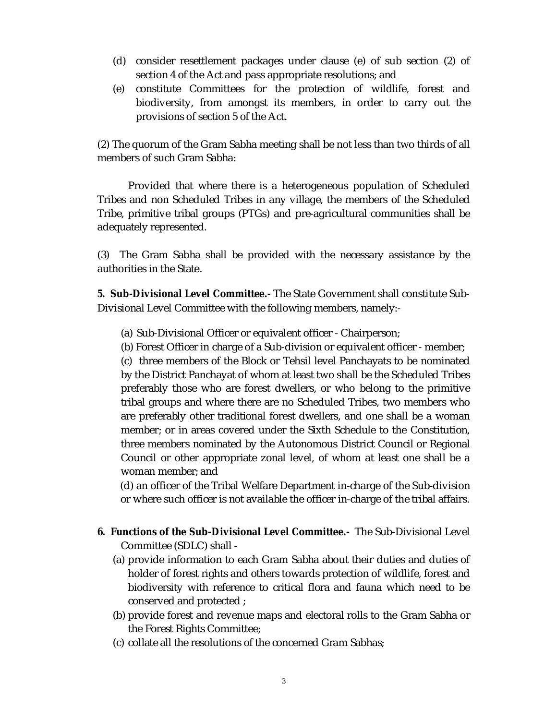- (d) consider resettlement packages under clause (e) of sub section (2) of section 4 of the Act and pass appropriate resolutions; and
- (e) constitute Committees for the protection of wildlife, forest and biodiversity, from amongst its members, in order to carry out the provisions of section 5 of the Act.

(2) The quorum of the Gram Sabha meeting shall be not less than two thirds of all members of such Gram Sabha:

 Provided that where there is a heterogeneous population of Scheduled Tribes and non Scheduled Tribes in any village, the members of the Scheduled Tribe, primitive tribal groups (PTGs) and pre-agricultural communities shall be adequately represented.

(3) The Gram Sabha shall be provided with the necessary assistance by the authorities in the State.

**5. Sub-Divisional Level Committee.-** The State Government shall constitute Sub-Divisional Level Committee with the following members, namely:-

(a) Sub-Divisional Officer or equivalent officer - Chairperson;

(b) Forest Officer in charge of a Sub-division or equivalent officer - member;

 (c) three members of the Block or Tehsil level Panchayats to be nominated by the District Panchayat of whom at least two shall be the Scheduled Tribes preferably those who are forest dwellers, or who belong to the primitive tribal groups and where there are no Scheduled Tribes, two members who are preferably other traditional forest dwellers, and one shall be a woman member; or in areas covered under the Sixth Schedule to the Constitution, three members nominated by the Autonomous District Council or Regional Council or other appropriate zonal level, of whom at least one shall be a woman member; and

 (d) an officer of the Tribal Welfare Department in-charge of the Sub-division or where such officer is not available the officer in-charge of the tribal affairs.

- **6. Functions of the Sub-Divisional Level Committee.-** The Sub-Divisional Level Committee (SDLC) shall -
	- (a) provide information to each Gram Sabha about their duties and duties of holder of forest rights and others towards protection of wildlife, forest and biodiversity with reference to critical flora and fauna which need to be conserved and protected ;
	- (b) provide forest and revenue maps and electoral rolls to the Gram Sabha or the Forest Rights Committee;
	- (c) collate all the resolutions of the concerned Gram Sabhas;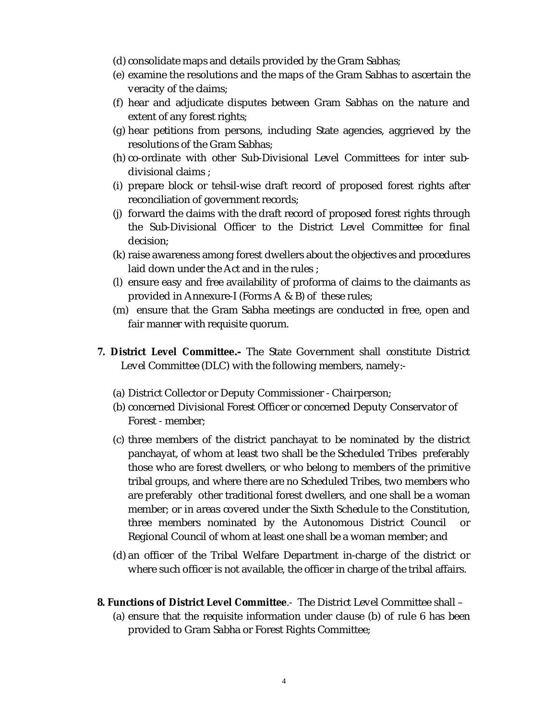- (d) consolidate maps and details provided by the Gram Sabhas;
- (e) examine the resolutions and the maps of the Gram Sabhas to ascertain the veracity of the claims;
- (f) hear and adjudicate disputes between Gram Sabhas on the nature and extent of any forest rights;
- (g) hear petitions from persons, including State agencies, aggrieved by the resolutions of the Gram Sabhas;
- (h) co-ordinate with other Sub-Divisional Level Committees for inter subdivisional claims ;
- (i) prepare block or tehsil-wise draft record of proposed forest rights after reconciliation of government records;
- (j) forward the claims with the draft record of proposed forest rights through the Sub-Divisional Officer to the District Level Committee for final decision;
- (k) raise awareness among forest dwellers about the objectives and procedures laid down under the Act and in the rules ;
- (l) ensure easy and free availability of proforma of claims to the claimants as provided in Annexure-I (Forms A & B) of these rules;
- (m) ensure that the Gram Sabha meetings are conducted in free, open and fair manner with requisite quorum.
- **7. District Level Committee***.-* The State Government shall constitute District Level Committee (DLC) with the following members, namely:-
	- (a) District Collector or Deputy Commissioner Chairperson;
	- (b) concerned Divisional Forest Officer or concerned Deputy Conservator of Forest - member;
	- (c) three members of the district panchayat to be nominated by the district panchayat, of whom at least two shall be the Scheduled Tribes preferably those who are forest dwellers, or who belong to members of the primitive tribal groups, and where there are no Scheduled Tribes, two members who are preferably other traditional forest dwellers, and one shall be a woman member; or in areas covered under the Sixth Schedule to the Constitution, three members nominated by the Autonomous District Council or Regional Council of whom at least one shall be a woman member; and
	- (d) an officer of the Tribal Welfare Department in-charge of the district or where such officer is not available, the officer in charge of the tribal affairs.
- **8. Functions of District Level Committee**.- The District Level Committee shall
	- (a) ensure that the requisite information under clause (b) of rule 6 has been provided to Gram Sabha or Forest Rights Committee;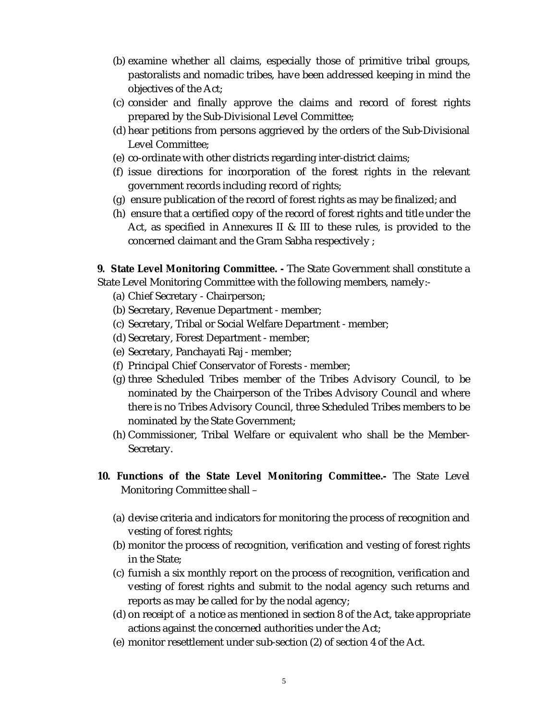- (b) examine whether all claims, especially those of primitive tribal groups, pastoralists and nomadic tribes, have been addressed keeping in mind the objectives of the Act;
- (c) consider and finally approve the claims and record of forest rights prepared by the Sub-Divisional Level Committee;
- (d) hear petitions from persons aggrieved by the orders of the Sub-Divisional Level Committee;
- (e) co-ordinate with other districts regarding inter-district claims;
- (f) issue directions for incorporation of the forest rights in the relevant government records including record of rights;
- (g) ensure publication of the record of forest rights as may be finalized; and
- (h) ensure that a certified copy of the record of forest rights and title under the Act, as specified in Annexures II & III to these rules, is provided to the concerned claimant and the Gram Sabha respectively ;

**9. State Level Monitoring Committee. -** The State Government shall constitute a State Level Monitoring Committee with the following members, namely:-

- (a) Chief Secretary Chairperson;
- (b) Secretary, Revenue Department member;
- (c) Secretary, Tribal or Social Welfare Department member;
- (d) Secretary, Forest Department member;
- (e) Secretary, Panchayati Raj member;
- (f) Principal Chief Conservator of Forests member;
- (g) three Scheduled Tribes member of the Tribes Advisory Council, to be nominated by the Chairperson of the Tribes Advisory Council and where there is no Tribes Advisory Council, three Scheduled Tribes members to be nominated by the State Government;
- (h) Commissioner, Tribal Welfare or equivalent who shall be the Member-Secretary.
- **10. Functions of the State Level Monitoring Committee.-** The State Level Monitoring Committee shall –
	- (a) devise criteria and indicators for monitoring the process of recognition and vesting of forest rights;
	- (b) monitor the process of recognition, verification and vesting of forest rights in the State;
	- (c) furnish a six monthly report on the process of recognition, verification and vesting of forest rights and submit to the nodal agency such returns and reports as may be called for by the nodal agency;
	- (d) on receipt of a notice as mentioned in section 8 of the Act, take appropriate actions against the concerned authorities under the Act;
	- (e) monitor resettlement under sub-section (2) of section 4 of the Act.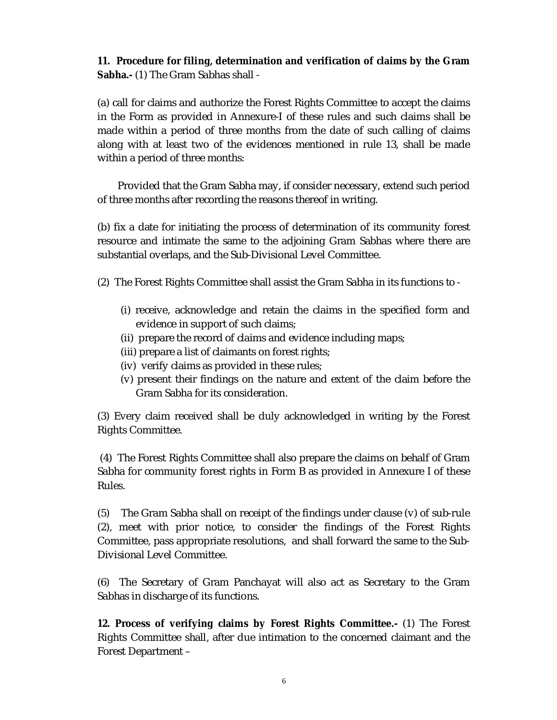**11. Procedure for filing, determination and verification of claims by the Gram Sabha.-** (1) The Gram Sabhas shall -

(a) call for claims and authorize the Forest Rights Committee to accept the claims in the Form as provided in Annexure-I of these rules and such claims shall be made within a period of three months from the date of such calling of claims along with at least two of the evidences mentioned in rule 13, shall be made within a period of three months:

 Provided that the Gram Sabha may, if consider necessary, extend such period of three months after recording the reasons thereof in writing.

(b) fix a date for initiating the process of determination of its community forest resource and intimate the same to the adjoining Gram Sabhas where there are substantial overlaps, and the Sub-Divisional Level Committee.

- (2) The Forest Rights Committee shall assist the Gram Sabha in its functions to
	- (i) receive, acknowledge and retain the claims in the specified form and evidence in support of such claims;
	- (ii) prepare the record of claims and evidence including maps;
	- (iii) prepare a list of claimants on forest rights;
	- (iv) verify claims as provided in these rules;
	- (v) present their findings on the nature and extent of the claim before the Gram Sabha for its consideration.

(3) Every claim received shall be duly acknowledged in writing by the Forest Rights Committee.

(4) The Forest Rights Committee shall also prepare the claims on behalf of Gram Sabha for community forest rights in Form B as provided in Annexure I of these Rules.

(5) The Gram Sabha shall on receipt of the findings under clause (v) of sub-rule (2), meet with prior notice, to consider the findings of the Forest Rights Committee, pass appropriate resolutions, and shall forward the same to the Sub-Divisional Level Committee.

(6) The Secretary of Gram Panchayat will also act as Secretary to the Gram Sabhas in discharge of its functions.

**12. Process of verifying claims by Forest Rights Committee.-** (1) The Forest Rights Committee shall, after due intimation to the concerned claimant and the Forest Department –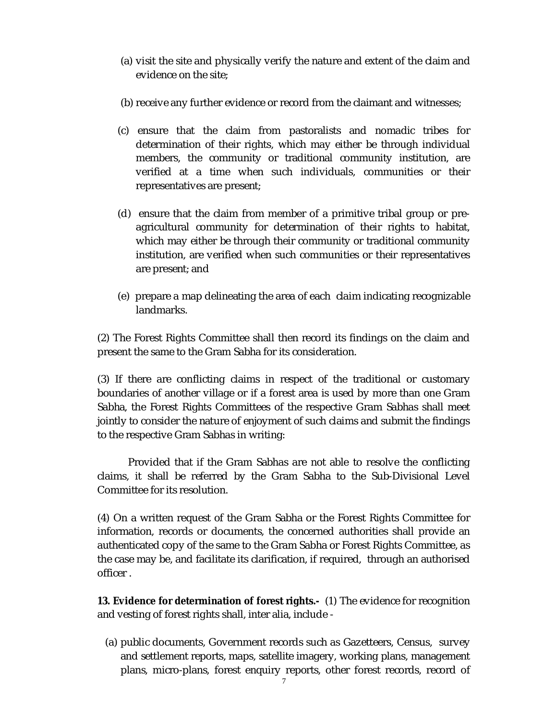- (a) visit the site and physically verify the nature and extent of the claim and evidence on the site;
- (b) receive any further evidence or record from the claimant and witnesses;
- (c) ensure that the claim from pastoralists and nomadic tribes for determination of their rights, which may either be through individual members, the community or traditional community institution, are verified at a time when such individuals, communities or their representatives are present;
- (d) ensure that the claim from member of a primitive tribal group or preagricultural community for determination of their rights to habitat, which may either be through their community or traditional community institution, are verified when such communities or their representatives are present; and
- (e) prepare a map delineating the area of each claim indicating recognizable landmarks.

(2) The Forest Rights Committee shall then record its findings on the claim and present the same to the Gram Sabha for its consideration.

(3) If there are conflicting claims in respect of the traditional or customary boundaries of another village or if a forest area is used by more than one Gram Sabha, the Forest Rights Committees of the respective Gram Sabhas shall meet jointly to consider the nature of enjoyment of such claims and submit the findings to the respective Gram Sabhas in writing:

Provided that if the Gram Sabhas are not able to resolve the conflicting claims, it shall be referred by the Gram Sabha to the Sub-Divisional Level Committee for its resolution.

(4) On a written request of the Gram Sabha or the Forest Rights Committee for information, records or documents, the concerned authorities shall provide an authenticated copy of the same to the Gram Sabha or Forest Rights Committee, as the case may be, and facilitate its clarification, if required, through an authorised officer .

**13. Evidence for determination of forest rights.-** (1) The evidence for recognition and vesting of forest rights shall, inter alia, include -

(a) public documents, Government records such as Gazetteers, Census, survey and settlement reports, maps, satellite imagery, working plans, management plans, micro-plans, forest enquiry reports, other forest records, record of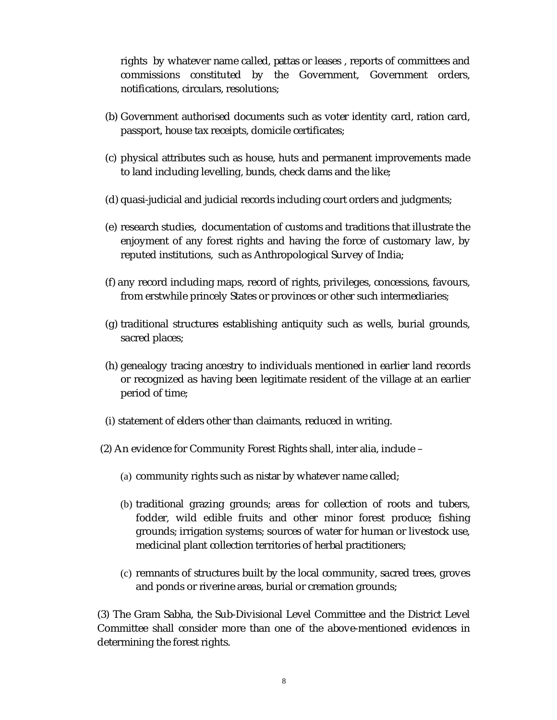rights by whatever name called, *pattas* or leases , reports of committees and commissions constituted by the Government, Government orders, notifications, circulars, resolutions;

- (b) Government authorised documents such as voter identity card, ration card, passport, house tax receipts, domicile certificates;
- (c) physical attributes such as house, huts and permanent improvements made to land including levelling, bunds, check dams and the like;
- (d) quasi-judicial and judicial records including court orders and judgments;
- (e) research studies, documentation of customs and traditions that illustrate the enjoyment of any forest rights and having the force of customary law, by reputed institutions, such as Anthropological Survey of India;
- (f) any record including maps, record of rights, privileges, concessions, favours, from erstwhile princely States or provinces or other such intermediaries;
- (g) traditional structures establishing antiquity such as wells, burial grounds, sacred places;
- (h) genealogy tracing ancestry to individuals mentioned in earlier land records or recognized as having been legitimate resident of the village at an earlier period of time;
- (i) statement of elders other than claimants, reduced in writing.
- (2) An evidence for Community Forest Rights shall, inter alia, include
	- (a) community rights such as *nistar* by whatever name called;
	- (b) traditional grazing grounds; areas for collection of roots and tubers, fodder, wild edible fruits and other minor forest produce; fishing grounds; irrigation systems; sources of water for human or livestock use, medicinal plant collection territories of herbal practitioners;
	- (c) remnants of structures built by the local community, sacred trees, groves and ponds or riverine areas, burial or cremation grounds;

(3) The Gram Sabha, the Sub-Divisional Level Committee and the District Level Committee shall consider more than one of the above-mentioned evidences in determining the forest rights.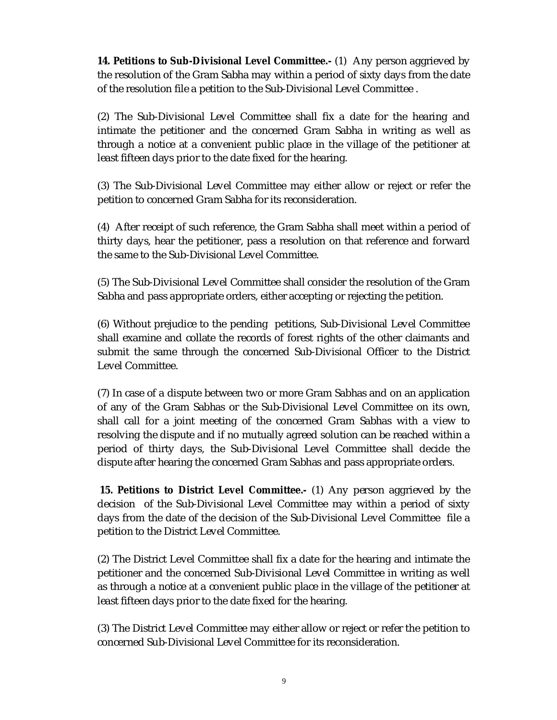**14. Petitions to Sub-Divisional Level Committee.-** (1) Any person aggrieved by the resolution of the Gram Sabha may within a period of sixty days from the date of the resolution file a petition to the Sub-Divisional Level Committee .

(2) The Sub-Divisional Level Committee shall fix a date for the hearing and intimate the petitioner and the concerned Gram Sabha in writing as well as through a notice at a convenient public place in the village of the petitioner at least fifteen days prior to the date fixed for the hearing.

(3) The Sub-Divisional Level Committee may either allow or reject or refer the petition to concerned Gram Sabha for its reconsideration.

(4) After receipt of such reference, the Gram Sabha shall meet within a period of thirty days, hear the petitioner, pass a resolution on that reference and forward the same to the Sub-Divisional Level Committee.

(5) The Sub-Divisional Level Committee shall consider the resolution of the Gram Sabha and pass appropriate orders, either accepting or rejecting the petition.

(6) Without prejudice to the pending petitions, Sub-Divisional Level Committee shall examine and collate the records of forest rights of the other claimants and submit the same through the concerned Sub-Divisional Officer to the District Level Committee.

(7) In case of a dispute between two or more Gram Sabhas and on an application of any of the Gram Sabhas or the Sub-Divisional Level Committee on its own, shall call for a joint meeting of the concerned Gram Sabhas with a view to resolving the dispute and if no mutually agreed solution can be reached within a period of thirty days, the Sub-Divisional Level Committee shall decide the dispute after hearing the concerned Gram Sabhas and pass appropriate orders.

 **15. Petitions to District Level Committee.-** (1) Any person aggrieved by the decision of the Sub-Divisional Level Committee may within a period of sixty days from the date of the decision of the Sub-Divisional Level Committee file a petition to the District Level Committee.

(2) The District Level Committee shall fix a date for the hearing and intimate the petitioner and the concerned Sub-Divisional Level Committee in writing as well as through a notice at a convenient public place in the village of the petitioner at least fifteen days prior to the date fixed for the hearing.

(3) The District Level Committee may either allow or reject or refer the petition to concerned Sub-Divisional Level Committee for its reconsideration.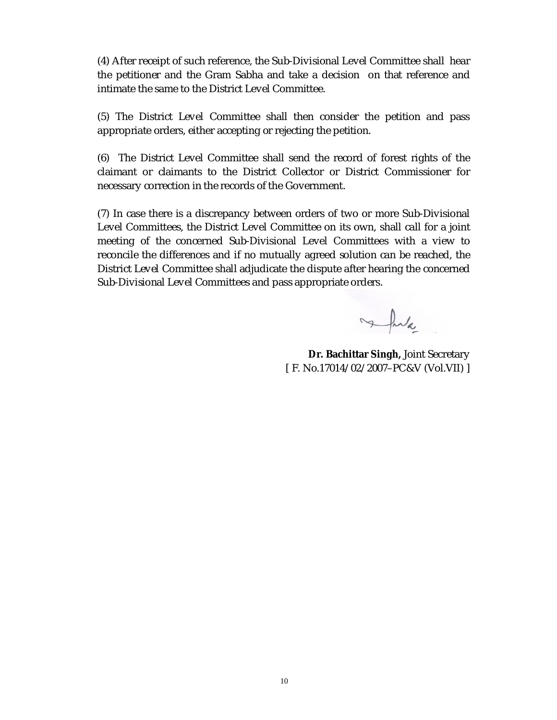(4) After receipt of such reference, the Sub-Divisional Level Committee shall hear the petitioner and the Gram Sabha and take a decision on that reference and intimate the same to the District Level Committee.

(5) The District Level Committee shall then consider the petition and pass appropriate orders, either accepting or rejecting the petition.

(6) The District Level Committee shall send the record of forest rights of the claimant or claimants to the District Collector or District Commissioner for necessary correction in the records of the Government.

(7) In case there is a discrepancy between orders of two or more Sub-Divisional Level Committees, the District Level Committee on its own, shall call for a joint meeting of the concerned Sub-Divisional Level Committees with a view to reconcile the differences and if no mutually agreed solution can be reached, the District Level Committee shall adjudicate the dispute after hearing the concerned Sub-Divisional Level Committees and pass appropriate orders.

Jula

**Dr. Bachittar Singh,** Joint Secretary [ F. No.17014/ 02/ 2007–PC&V (Vol.VII) ]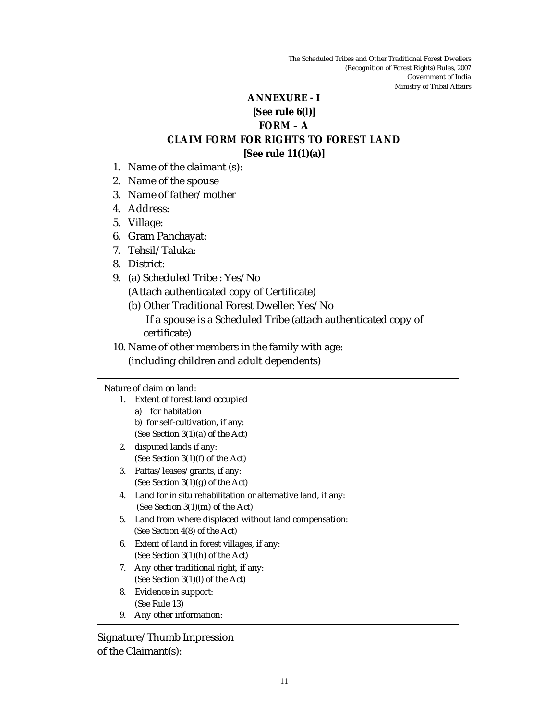# **ANNEXURE - I**

### **[See rule 6(l)]**

## **FORM – A**

# **CLAIM FORM FOR RIGHTS TO FOREST LAND**

## **[See rule 11(1)(a)]**

- 1. Name of the claimant (s):
- 2. Name of the spouse
- 3. Name of father/ mother
- 4. Address:
- 5. Village:
- 6. Gram Panchayat:
- 7. Tehsil/ Taluka:
- 8. District:
- 9. (a) Scheduled Tribe : Yes/ No (Attach authenticated copy of Certificate)
	- (b) Other Traditional Forest Dweller: Yes/ No
		- If a spouse is a Scheduled Tribe (attach authenticated copy of certificate)
- 10. Name of other members in the family with age:
	- (including children and adult dependents)

### Nature of claim on land:

- 1. Extent of forest land occupied a) for habitation b) for self-cultivation, if any:
- (See Section 3(1)(a) of the Act) 2. disputed lands if any: (See Section 3(1)(f) of the Act)
- 3. Pattas/ leases/ grants, if any: (See Section 3(1)(g) of the Act)
- 4. Land for *in situ* rehabilitation or alternative land, if any: (See Section 3(1)(m) of the Act)
- 5. Land from where displaced without land compensation: (See Section 4(8) of the Act)
- 6. Extent of land in forest villages, if any: (See Section 3(1)(h) of the Act)
- 7. Any other traditional right, if any: (See Section 3(1)(l) of the Act)
- 8. Evidence in support: (See Rule 13)
- 9. Any other information:

Signature/ Thumb Impression of the Claimant(s):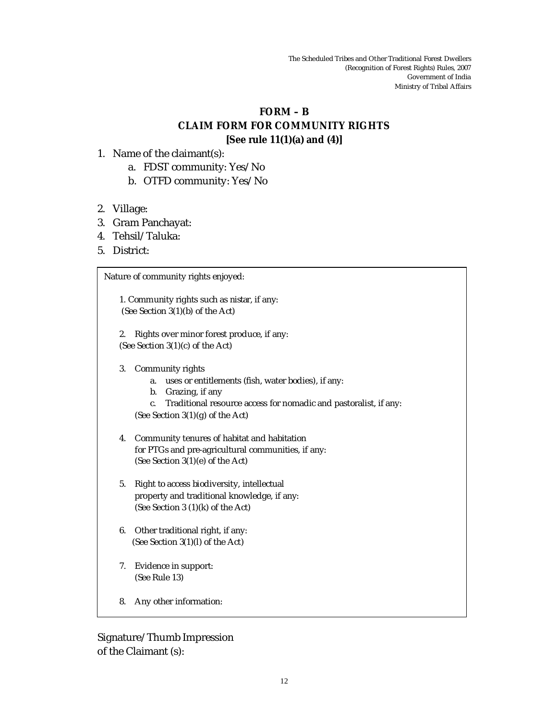### **FORM – B**

## **CLAIM FORM FOR COMMUNITY RIGHTS [See rule 11(1)(a) and (4)]**

- 1. Name of the claimant(s):
	- a. FDST community: Yes/ No
	- b. OTFD community: Yes/ No
- 2. Village:
- 3. Gram Panchayat:
- 4. Tehsil/ Taluka:
- 5. District:

1. Community rights such as *nistar*, if any: (See Section 3(1)(b) of the Act)

2. Rights over minor forest produce, if any: (See Section 3(1)(c) of the Act)

3. Community rights

Nature of community rights enjoyed:

- a. uses or entitlements (fish, water bodies), if any:
- b. Grazing, if any
- c. Traditional resource access for nomadic and pastoralist, if any: (See Section 3(1)(g) of the Act)
- 4. Community tenures of habitat and habitation for PTGs and pre-agricultural communities, if any: (See Section 3(1)(e) of the Act)
- 5. Right to access biodiversity, intellectual property and traditional knowledge, if any: (See Section 3 (1)(k) of the Act)
- 6. Other traditional right, if any: (See Section 3(1)(l) of the Act)
- 7. Evidence in support: (See Rule 13)
- 8. Any other information:

Signature/ Thumb Impression of the Claimant (s):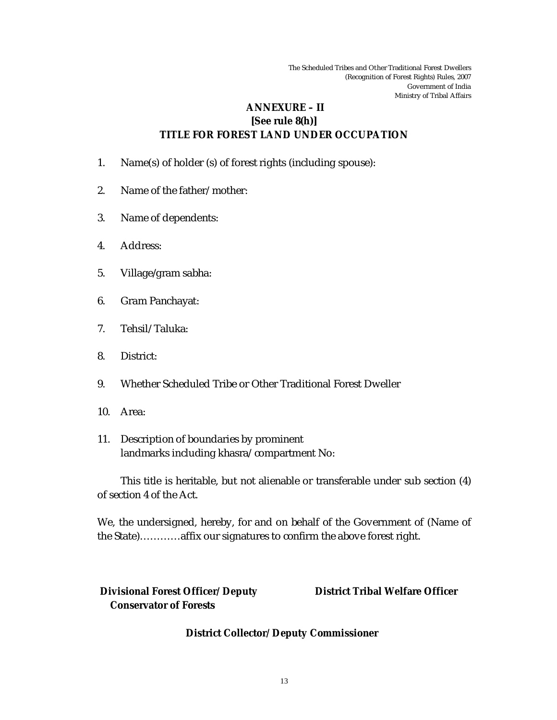# **ANNEXURE – II [See rule 8(h)] TITLE FOR FOREST LAND UNDER OCCUPATION**

- 1. Name(s) of holder (s) of forest rights (including spouse):
- 2. Name of the father/ mother:
- 3. Name of dependents:
- 4. Address:
- 5. Village/gram sabha:
- 6. Gram Panchayat:
- 7. Tehsil/ Taluka:
- 8. District:
- 9. Whether Scheduled Tribe or Other Traditional Forest Dweller
- 10. Area:
- 11. Description of boundaries by prominent landmarks including khasra/ compartment No:

This title is heritable, but not alienable or transferable under sub section (4) of section 4 of the Act.

We, the undersigned, hereby, for and on behalf of the Government of (Name of the State)…………affix our signatures to confirm the above forest right.

 **Divisional Forest Officer/ Deputy Conservator of Forests**

 **District Tribal Welfare Officer**

**District Collector/ Deputy Commissioner**